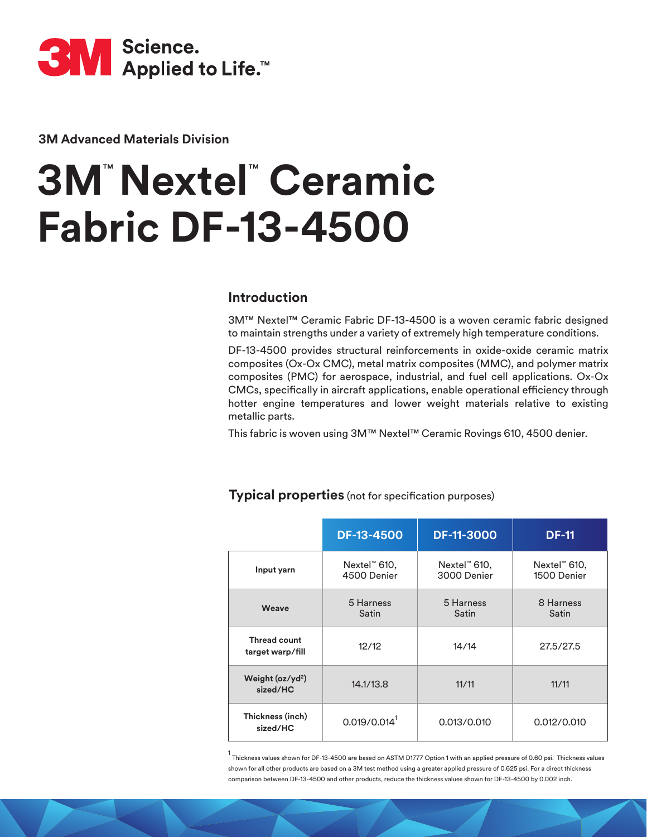

**3M Advanced Materials Division**

## **3M**™ **Nextel**™  **Ceramic Fabric DF-13-4500**

## **Introduction**

3M™ Nextel™ Ceramic Fabric DF-13-4500 is a woven ceramic fabric designed to maintain strengths under a variety of extremely high temperature conditions.

DF-13-4500 provides structural reinforcements in oxide-oxide ceramic matrix composites (Ox-Ox CMC), metal matrix composites (MMC), and polymer matrix composites (PMC) for aerospace, industrial, and fuel cell applications. Ox-Ox CMCs, specifically in aircraft applications, enable operational efficiency through hotter engine temperatures and lower weight materials relative to existing metallic parts.

This fabric is woven using 3M™ Nextel™ Ceramic Rovings 610, 4500 denier.

|                                         | <b>DF-13-4500</b>                       | <b>DF-11-3000</b>                          | <b>DF-11</b>                |
|-----------------------------------------|-----------------------------------------|--------------------------------------------|-----------------------------|
| Input yarn                              | Nextel <sup>"</sup> 610,<br>4500 Denier | Nextel <sup>"</sup> $610$ ,<br>3000 Denier | Nextel™ 610,<br>1500 Denier |
| Weave                                   | 5 Harness<br>Satin                      | 5 Harness<br>Satin                         | 8 Harness<br>Satin          |
| <b>Thread count</b><br>target warp/fill | 12/12                                   | 14/14                                      | 27.5/27.5                   |
| Weight $(oz/yd2)$<br>sized/HC           | 14.1/13.8                               | 11/11                                      | 11/11                       |
| Thickness (inch)<br>sized/HC            | 0.019/0.014 <sup>1</sup>                | 0.013/0.010                                | 0.012/0.010                 |

## **Typical properties** (not for specification purposes)

1 Thickness values shown for DF-13-4500 are based on ASTM D1777 Option 1 with an applied pressure of 0.60 psi. Thickness values shown for all other products are based on a 3M test method using a greater applied pressure of 0.625 psi. For a direct thickness comparison between DF-13-4500 and other products, reduce the thickness values shown for DF-13-4500 by 0.002 inch.